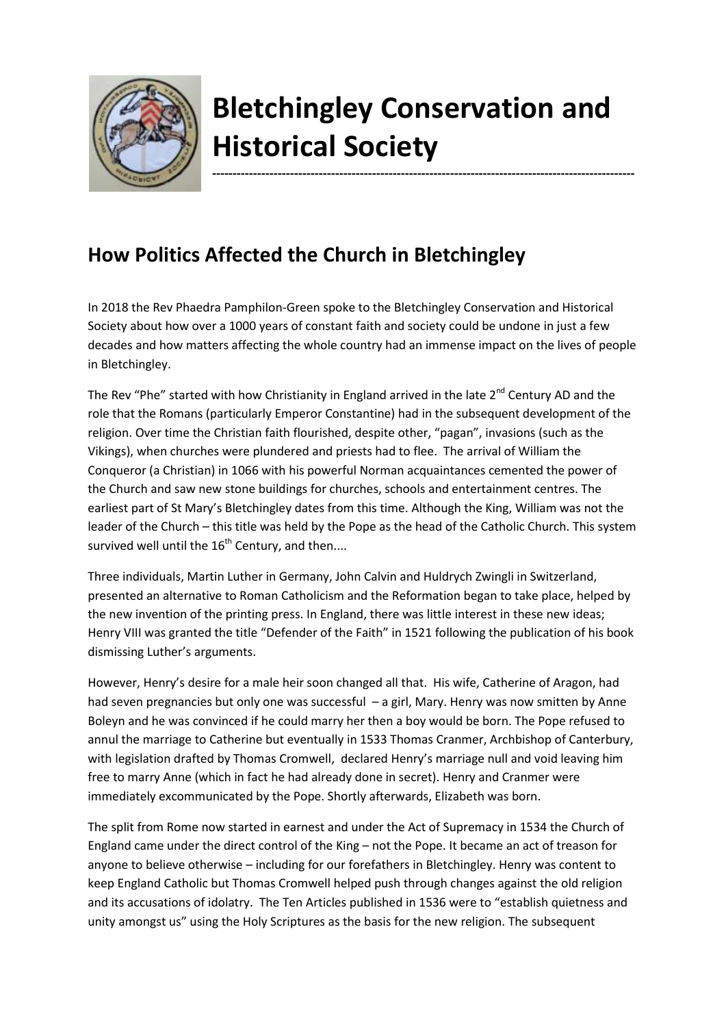

## **Bletchingley Conservation and Historical Society**

**-------------------------------------------------------------------------------------------------------**

## **How Politics Affected the Church in Bletchingley**

In 2018 the Rev Phaedra Pamphilon-Green spoke to the Bletchingley Conservation and Historical Society about how over a 1000 years of constant faith and society could be undone in just a few decades and how matters affecting the whole country had an immense impact on the lives of people in Bletchingley.

The Rev "Phe" started with how Christianity in England arrived in the late  $2^{nd}$  Century AD and the role that the Romans (particularly Emperor Constantine) had in the subsequent development of the religion. Over time the Christian faith flourished, despite other, "pagan", invasions (such as the Vikings), when churches were plundered and priests had to flee. The arrival of William the Conqueror (a Christian) in 1066 with his powerful Norman acquaintances cemented the power of the Church and saw new stone buildings for churches, schools and entertainment centres. The earliest part of St Mary's Bletchingley dates from this time. Although the King, William was not the leader of the Church – this title was held by the Pope as the head of the Catholic Church. This system survived well until the  $16<sup>th</sup>$  Century, and then....

Three individuals, Martin Luther in Germany, John Calvin and Huldrych Zwingli in Switzerland, presented an alternative to Roman Catholicism and the Reformation began to take place, helped by the new invention of the printing press. In England, there was little interest in these new ideas; Henry VIII was granted the title "Defender of the Faith" in 1521 following the publication of his book dismissing Luther's arguments.

However, Henry's desire for a male heir soon changed all that. His wife, Catherine of Aragon, had had seven pregnancies but only one was successful – a girl, Mary. Henry was now smitten by Anne Boleyn and he was convinced if he could marry her then a boy would be born. The Pope refused to annul the marriage to Catherine but eventually in 1533 Thomas Cranmer, Archbishop of Canterbury, with legislation drafted by Thomas Cromwell, declared Henry's marriage null and void leaving him free to marry Anne (which in fact he had already done in secret). Henry and Cranmer were immediately excommunicated by the Pope. Shortly afterwards, Elizabeth was born.

The split from Rome now started in earnest and under the Act of Supremacy in 1534 the Church of England came under the direct control of the King – not the Pope. It became an act of treason for anyone to believe otherwise – including for our forefathers in Bletchingley. Henry was content to keep England Catholic but Thomas Cromwell helped push through changes against the old religion and its accusations of idolatry. The Ten Articles published in 1536 were to "establish quietness and unity amongst us" using the Holy Scriptures as the basis for the new religion. The subsequent